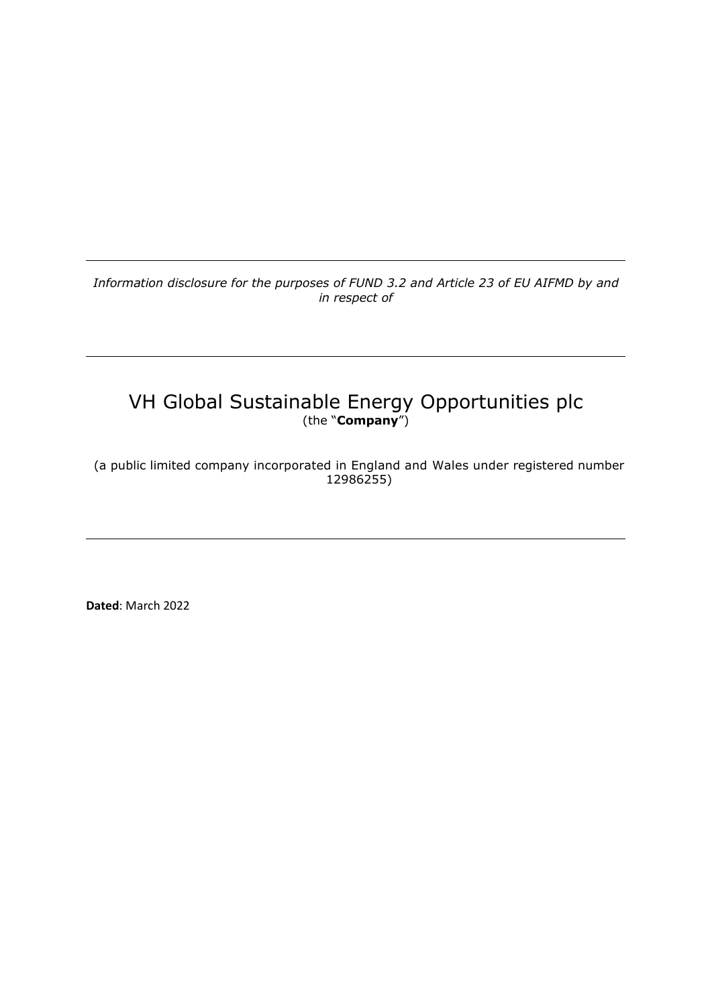*Information disclosure for the purposes of FUND 3.2 and Article 23 of EU AIFMD by and in respect of*

# VH Global Sustainable Energy Opportunities plc (the "**Company**")

(a public limited company incorporated in England and Wales under registered number 12986255)

**Dated**: March 2022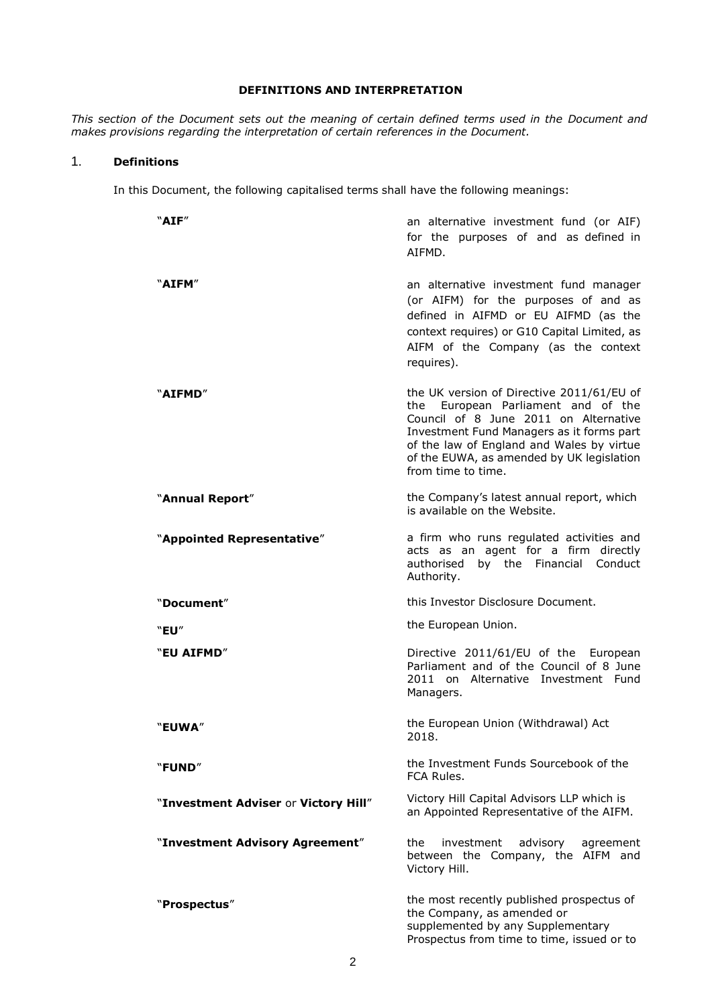## **DEFINITIONS AND INTERPRETATION**

*This section of the Document sets out the meaning of certain defined terms used in the Document and makes provisions regarding the interpretation of certain references in the Document.*

## 1. **Definitions**

In this Document, the following capitalised terms shall have the following meanings:

| "AIF"                                | an alternative investment fund (or AIF)<br>for the purposes of and as defined in<br>AIFMD.                                                                                                                                                                                            |
|--------------------------------------|---------------------------------------------------------------------------------------------------------------------------------------------------------------------------------------------------------------------------------------------------------------------------------------|
| "AIFM"                               | an alternative investment fund manager<br>(or AIFM) for the purposes of and as<br>defined in AIFMD or EU AIFMD (as the<br>context requires) or G10 Capital Limited, as<br>AIFM of the Company (as the context<br>requires).                                                           |
| "AIFMD"                              | the UK version of Directive 2011/61/EU of<br>the European Parliament and of the<br>Council of 8 June 2011 on Alternative<br>Investment Fund Managers as it forms part<br>of the law of England and Wales by virtue<br>of the EUWA, as amended by UK legislation<br>from time to time. |
| "Annual Report"                      | the Company's latest annual report, which<br>is available on the Website.                                                                                                                                                                                                             |
| "Appointed Representative"           | a firm who runs regulated activities and<br>acts as an agent for a firm directly<br>authorised by the Financial Conduct<br>Authority.                                                                                                                                                 |
| "Document"                           | this Investor Disclosure Document.                                                                                                                                                                                                                                                    |
| "EU"                                 | the European Union.                                                                                                                                                                                                                                                                   |
| "EU AIFMD"                           | Directive 2011/61/EU of the European<br>Parliament and of the Council of 8 June<br>2011 on Alternative Investment Fund<br>Managers.                                                                                                                                                   |
| "EUWA"                               | the European Union (Withdrawal) Act<br>2018.                                                                                                                                                                                                                                          |
| "FUND"                               | the Investment Funds Sourcebook of the<br>FCA Rules.                                                                                                                                                                                                                                  |
| "Investment Adviser or Victory Hill" | Victory Hill Capital Advisors LLP which is<br>an Appointed Representative of the AIFM.                                                                                                                                                                                                |
| "Investment Advisory Agreement"      | investment<br>the<br>advisory<br>agreement<br>between the Company, the AIFM and<br>Victory Hill.                                                                                                                                                                                      |
| "Prospectus"                         | the most recently published prospectus of<br>the Company, as amended or<br>supplemented by any Supplementary<br>Prospectus from time to time, issued or to                                                                                                                            |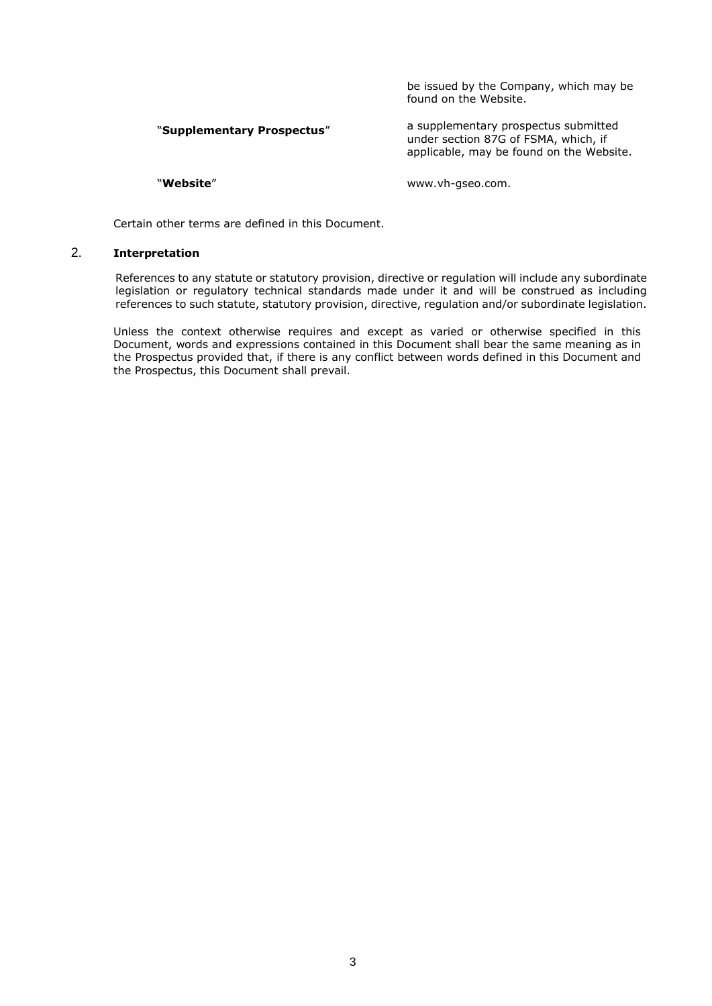be issued by the Company, which may be found on the Website.

#### "**Supplementary Prospectus**" a supplementary prospectus submitted under section 87G of FSMA, which, if applicable, may be found on the Website.

"**Website**" www.vh-gseo.com.

Certain other terms are defined in this Document.

### 2. **Interpretation**

References to any statute or statutory provision, directive or regulation will include any subordinate legislation or regulatory technical standards made under it and will be construed as including references to such statute, statutory provision, directive, regulation and/or subordinate legislation.

Unless the context otherwise requires and except as varied or otherwise specified in this Document, words and expressions contained in this Document shall bear the same meaning as in the Prospectus provided that, if there is any conflict between words defined in this Document and the Prospectus, this Document shall prevail.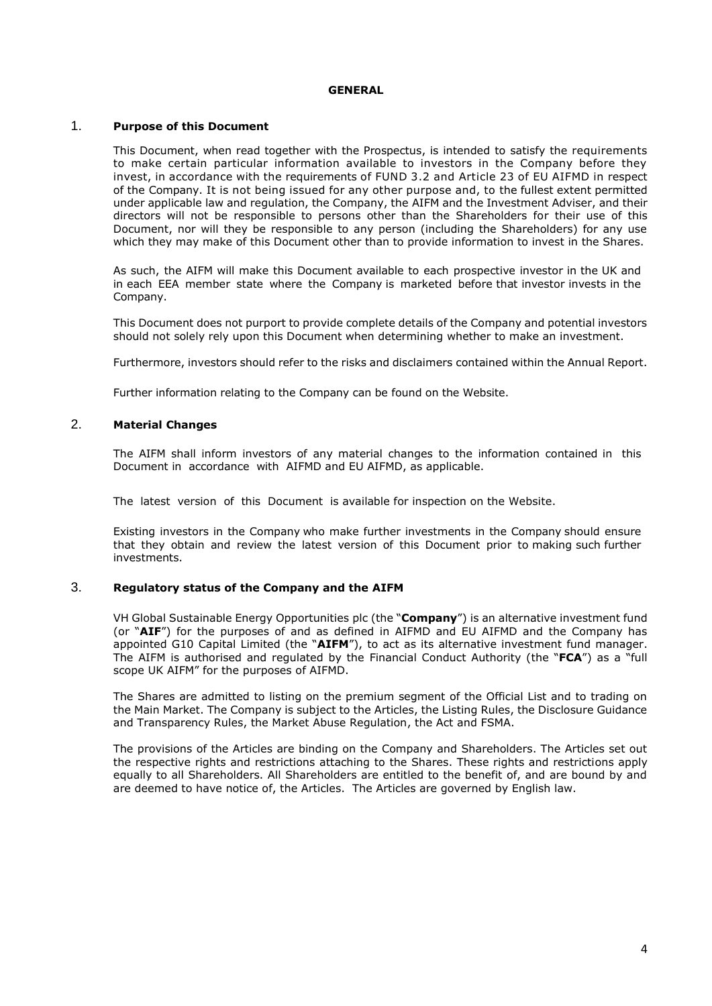#### **GENERAL**

#### 1. **Purpose of this Document**

This Document, when read together with the Prospectus, is intended to satisfy the requirements to make certain particular information available to investors in the Company before they invest, in accordance with the requirements of FUND 3.2 and Article 23 of EU AIFMD in respect of the Company. It is not being issued for any other purpose and, to the fullest extent permitted under applicable law and regulation, the Company, the AIFM and the Investment Adviser, and their directors will not be responsible to persons other than the Shareholders for their use of this Document, nor will they be responsible to any person (including the Shareholders) for any use which they may make of this Document other than to provide information to invest in the Shares.

As such, the AIFM will make this Document available to each prospective investor in the UK and in each EEA member state where the Company is marketed before that investor invests in the Company.

This Document does not purport to provide complete details of the Company and potential investors should not solely rely upon this Document when determining whether to make an investment.

Furthermore, investors should refer to the risks and disclaimers contained within the Annual Report.

Further information relating to the Company can be found on the Website.

# 2. **Material Changes**

The AIFM shall inform investors of any material changes to the information contained in this Document in accordance with AIFMD and EU AIFMD, as applicable.

The latest version of this Document is available for inspection on the Website.

Existing investors in the Company who make further investments in the Company should ensure that they obtain and review the latest version of this Document prior to making such further investments.

#### 3. **Regulatory status of the Company and the AIFM**

VH Global Sustainable Energy Opportunities plc (the "**Company**") is an alternative investment fund (or "**AIF**") for the purposes of and as defined in AIFMD and EU AIFMD and the Company has appointed G10 Capital Limited (the "**AIFM**"), to act as its alternative investment fund manager. The AIFM is authorised and regulated by the Financial Conduct Authority (the "**FCA**") as a "full scope UK AIFM" for the purposes of AIFMD.

The Shares are admitted to listing on the premium segment of the Official List and to trading on the Main Market. The Company is subject to the Articles, the Listing Rules, the Disclosure Guidance and Transparency Rules, the Market Abuse Regulation, the Act and FSMA.

The provisions of the Articles are binding on the Company and Shareholders. The Articles set out the respective rights and restrictions attaching to the Shares. These rights and restrictions apply equally to all Shareholders. All Shareholders are entitled to the benefit of, and are bound by and are deemed to have notice of, the Articles. The Articles are governed by English law.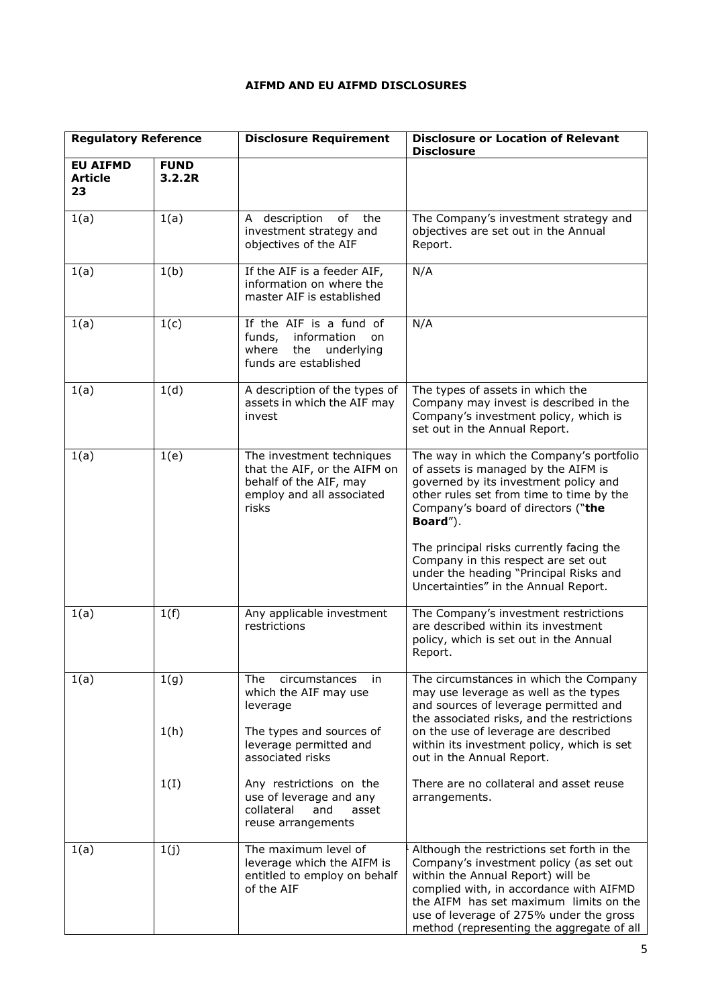# **AIFMD AND EU AIFMD DISCLOSURES**

| <b>Regulatory Reference</b>             |                       | <b>Disclosure Requirement</b>                                                                                             | <b>Disclosure or Location of Relevant</b><br><b>Disclosure</b>                                                                                                                                                                                                                                          |
|-----------------------------------------|-----------------------|---------------------------------------------------------------------------------------------------------------------------|---------------------------------------------------------------------------------------------------------------------------------------------------------------------------------------------------------------------------------------------------------------------------------------------------------|
| <b>EU AIFMD</b><br><b>Article</b><br>23 | <b>FUND</b><br>3.2.2R |                                                                                                                           |                                                                                                                                                                                                                                                                                                         |
| 1(a)                                    | 1(a)                  | A description<br>of<br>the<br>investment strategy and<br>objectives of the AIF                                            | The Company's investment strategy and<br>objectives are set out in the Annual<br>Report.                                                                                                                                                                                                                |
| 1(a)                                    | 1(b)                  | If the AIF is a feeder AIF,<br>information on where the<br>master AIF is established                                      | N/A                                                                                                                                                                                                                                                                                                     |
| 1(a)                                    | 1(c)                  | If the AIF is a fund of<br>funds,<br>information<br>on<br>the<br>where<br>underlying<br>funds are established             | N/A                                                                                                                                                                                                                                                                                                     |
| 1(a)                                    | 1(d)                  | A description of the types of<br>assets in which the AIF may<br>invest                                                    | The types of assets in which the<br>Company may invest is described in the<br>Company's investment policy, which is<br>set out in the Annual Report.                                                                                                                                                    |
| 1(a)                                    | 1(e)                  | The investment techniques<br>that the AIF, or the AIFM on<br>behalf of the AIF, may<br>employ and all associated<br>risks | The way in which the Company's portfolio<br>of assets is managed by the AIFM is<br>governed by its investment policy and<br>other rules set from time to time by the<br>Company's board of directors ("the<br>Board").                                                                                  |
|                                         |                       |                                                                                                                           | The principal risks currently facing the<br>Company in this respect are set out<br>under the heading "Principal Risks and<br>Uncertainties" in the Annual Report.                                                                                                                                       |
| 1(a)                                    | 1(f)                  | Any applicable investment<br>restrictions                                                                                 | The Company's investment restrictions<br>are described within its investment<br>policy, which is set out in the Annual<br>Report.                                                                                                                                                                       |
| 1(a)                                    | 1(g)                  | The<br>circumstances<br>in<br>which the AIF may use<br>leverage                                                           | The circumstances in which the Company<br>may use leverage as well as the types<br>and sources of leverage permitted and<br>the associated risks, and the restrictions                                                                                                                                  |
|                                         | 1(h)                  | The types and sources of<br>leverage permitted and<br>associated risks                                                    | on the use of leverage are described<br>within its investment policy, which is set<br>out in the Annual Report.                                                                                                                                                                                         |
|                                         | 1(I)                  | Any restrictions on the<br>use of leverage and any<br>collateral<br>and<br>asset<br>reuse arrangements                    | There are no collateral and asset reuse<br>arrangements.                                                                                                                                                                                                                                                |
| 1(a)                                    | 1(j)                  | The maximum level of<br>leverage which the AIFM is<br>entitled to employ on behalf<br>of the AIF                          | Although the restrictions set forth in the<br>Company's investment policy (as set out<br>within the Annual Report) will be<br>complied with, in accordance with AIFMD<br>the AIFM has set maximum limits on the<br>use of leverage of 275% under the gross<br>method (representing the aggregate of all |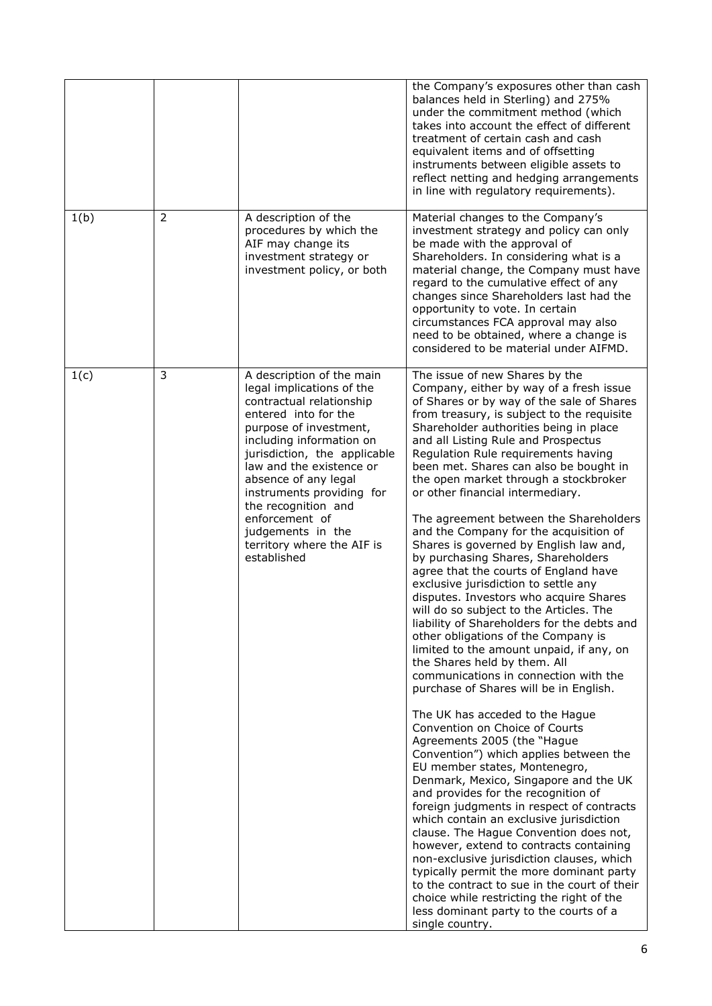|      |                |                                                                                                                                                                                                                                                                                                                                                                                              | the Company's exposures other than cash<br>balances held in Sterling) and 275%<br>under the commitment method (which<br>takes into account the effect of different<br>treatment of certain cash and cash<br>equivalent items and of offsetting<br>instruments between eligible assets to<br>reflect netting and hedging arrangements<br>in line with regulatory requirements).                                                                                                                                                                                                                                                                                                                                                                                                                                                                                                                                                                                                                                                                                                                                                                                                                                                                                                                                                                                                                                                                                                                                                                                                                                                                                                                                    |
|------|----------------|----------------------------------------------------------------------------------------------------------------------------------------------------------------------------------------------------------------------------------------------------------------------------------------------------------------------------------------------------------------------------------------------|-------------------------------------------------------------------------------------------------------------------------------------------------------------------------------------------------------------------------------------------------------------------------------------------------------------------------------------------------------------------------------------------------------------------------------------------------------------------------------------------------------------------------------------------------------------------------------------------------------------------------------------------------------------------------------------------------------------------------------------------------------------------------------------------------------------------------------------------------------------------------------------------------------------------------------------------------------------------------------------------------------------------------------------------------------------------------------------------------------------------------------------------------------------------------------------------------------------------------------------------------------------------------------------------------------------------------------------------------------------------------------------------------------------------------------------------------------------------------------------------------------------------------------------------------------------------------------------------------------------------------------------------------------------------------------------------------------------------|
| 1(b) | $\overline{2}$ | A description of the<br>procedures by which the<br>AIF may change its<br>investment strategy or<br>investment policy, or both                                                                                                                                                                                                                                                                | Material changes to the Company's<br>investment strategy and policy can only<br>be made with the approval of<br>Shareholders. In considering what is a<br>material change, the Company must have<br>regard to the cumulative effect of any<br>changes since Shareholders last had the<br>opportunity to vote. In certain<br>circumstances FCA approval may also<br>need to be obtained, where a change is<br>considered to be material under AIFMD.                                                                                                                                                                                                                                                                                                                                                                                                                                                                                                                                                                                                                                                                                                                                                                                                                                                                                                                                                                                                                                                                                                                                                                                                                                                               |
| 1(c) | 3              | A description of the main<br>legal implications of the<br>contractual relationship<br>entered into for the<br>purpose of investment,<br>including information on<br>jurisdiction, the applicable<br>law and the existence or<br>absence of any legal<br>instruments providing for<br>the recognition and<br>enforcement of<br>judgements in the<br>territory where the AIF is<br>established | The issue of new Shares by the<br>Company, either by way of a fresh issue<br>of Shares or by way of the sale of Shares<br>from treasury, is subject to the requisite<br>Shareholder authorities being in place<br>and all Listing Rule and Prospectus<br>Regulation Rule requirements having<br>been met. Shares can also be bought in<br>the open market through a stockbroker<br>or other financial intermediary.<br>The agreement between the Shareholders<br>and the Company for the acquisition of<br>Shares is governed by English law and,<br>by purchasing Shares, Shareholders<br>agree that the courts of England have<br>exclusive jurisdiction to settle any<br>disputes. Investors who acquire Shares<br>will do so subject to the Articles. The<br>liability of Shareholders for the debts and<br>other obligations of the Company is<br>limited to the amount unpaid, if any, on<br>the Shares held by them. All<br>communications in connection with the<br>purchase of Shares will be in English.<br>The UK has acceded to the Hague<br>Convention on Choice of Courts<br>Agreements 2005 (the "Hague<br>Convention") which applies between the<br>EU member states, Montenegro,<br>Denmark, Mexico, Singapore and the UK<br>and provides for the recognition of<br>foreign judgments in respect of contracts<br>which contain an exclusive jurisdiction<br>clause. The Hague Convention does not,<br>however, extend to contracts containing<br>non-exclusive jurisdiction clauses, which<br>typically permit the more dominant party<br>to the contract to sue in the court of their<br>choice while restricting the right of the<br>less dominant party to the courts of a<br>single country. |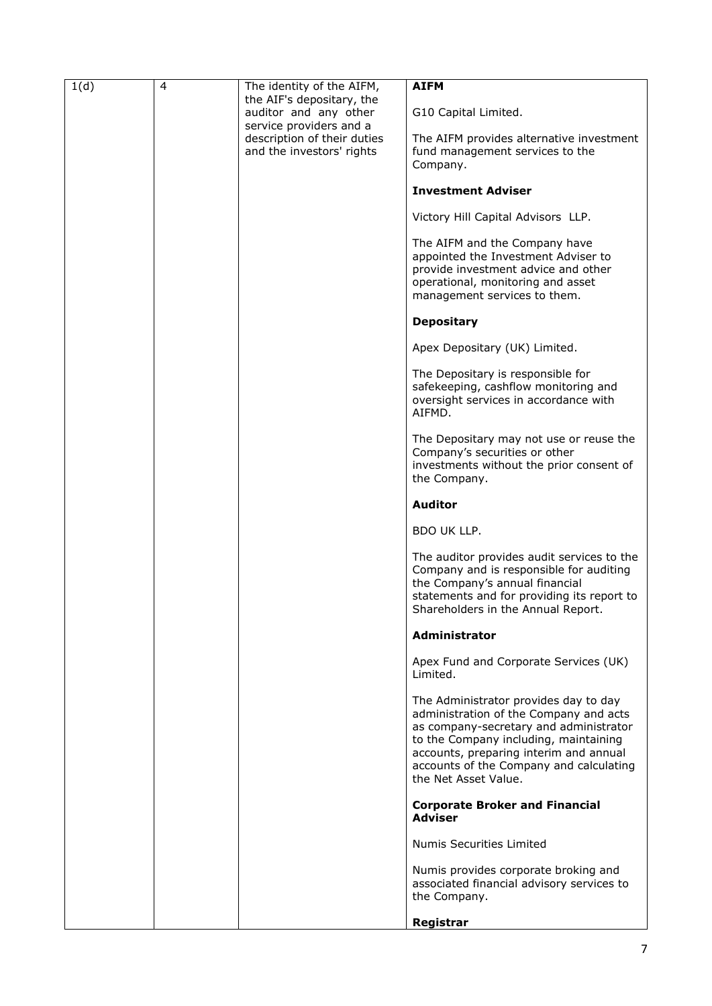| 1(d) | $\overline{4}$ | The identity of the AIFM,                        | <b>AIFM</b>                                                                     |
|------|----------------|--------------------------------------------------|---------------------------------------------------------------------------------|
|      |                | the AIF's depositary, the                        |                                                                                 |
|      |                | auditor and any other<br>service providers and a | G10 Capital Limited.                                                            |
|      |                | description of their duties                      | The AIFM provides alternative investment                                        |
|      |                | and the investors' rights                        | fund management services to the                                                 |
|      |                |                                                  | Company.                                                                        |
|      |                |                                                  | <b>Investment Adviser</b>                                                       |
|      |                |                                                  | Victory Hill Capital Advisors LLP.                                              |
|      |                |                                                  | The AIFM and the Company have                                                   |
|      |                |                                                  | appointed the Investment Adviser to                                             |
|      |                |                                                  | provide investment advice and other<br>operational, monitoring and asset        |
|      |                |                                                  | management services to them.                                                    |
|      |                |                                                  | <b>Depositary</b>                                                               |
|      |                |                                                  | Apex Depositary (UK) Limited.                                                   |
|      |                |                                                  |                                                                                 |
|      |                |                                                  | The Depositary is responsible for<br>safekeeping, cashflow monitoring and       |
|      |                |                                                  | oversight services in accordance with                                           |
|      |                |                                                  | AIFMD.                                                                          |
|      |                |                                                  | The Depositary may not use or reuse the                                         |
|      |                |                                                  | Company's securities or other                                                   |
|      |                |                                                  | investments without the prior consent of<br>the Company.                        |
|      |                |                                                  |                                                                                 |
|      |                |                                                  | <b>Auditor</b>                                                                  |
|      |                |                                                  | BDO UK LLP.                                                                     |
|      |                |                                                  | The auditor provides audit services to the                                      |
|      |                |                                                  | Company and is responsible for auditing<br>the Company's annual financial       |
|      |                |                                                  | statements and for providing its report to                                      |
|      |                |                                                  | Shareholders in the Annual Report.                                              |
|      |                |                                                  | <b>Administrator</b>                                                            |
|      |                |                                                  | Apex Fund and Corporate Services (UK)                                           |
|      |                |                                                  | Limited.                                                                        |
|      |                |                                                  | The Administrator provides day to day                                           |
|      |                |                                                  | administration of the Company and acts                                          |
|      |                |                                                  | as company-secretary and administrator<br>to the Company including, maintaining |
|      |                |                                                  | accounts, preparing interim and annual                                          |
|      |                |                                                  | accounts of the Company and calculating<br>the Net Asset Value.                 |
|      |                |                                                  |                                                                                 |
|      |                |                                                  | <b>Corporate Broker and Financial</b><br><b>Adviser</b>                         |
|      |                |                                                  | Numis Securities Limited                                                        |
|      |                |                                                  | Numis provides corporate broking and                                            |
|      |                |                                                  | associated financial advisory services to                                       |
|      |                |                                                  | the Company.                                                                    |
|      |                |                                                  | Registrar                                                                       |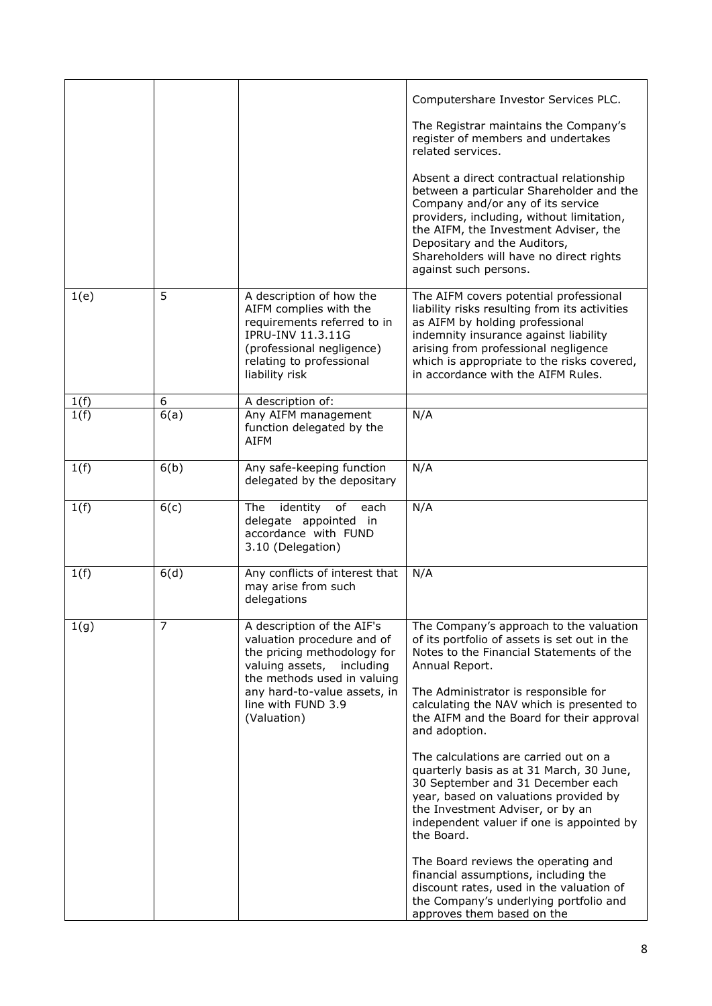|      |                |                                                                                                                                                                                          | Computershare Investor Services PLC.                                                                                                                                                                                                                                                                                |
|------|----------------|------------------------------------------------------------------------------------------------------------------------------------------------------------------------------------------|---------------------------------------------------------------------------------------------------------------------------------------------------------------------------------------------------------------------------------------------------------------------------------------------------------------------|
|      |                |                                                                                                                                                                                          | The Registrar maintains the Company's<br>register of members and undertakes<br>related services.                                                                                                                                                                                                                    |
|      |                |                                                                                                                                                                                          | Absent a direct contractual relationship<br>between a particular Shareholder and the<br>Company and/or any of its service<br>providers, including, without limitation,<br>the AIFM, the Investment Adviser, the<br>Depositary and the Auditors,<br>Shareholders will have no direct rights<br>against such persons. |
| 1(e) | 5              | A description of how the<br>AIFM complies with the<br>requirements referred to in<br><b>IPRU-INV 11.3.11G</b><br>(professional negligence)<br>relating to professional<br>liability risk | The AIFM covers potential professional<br>liability risks resulting from its activities<br>as AIFM by holding professional<br>indemnity insurance against liability<br>arising from professional negligence<br>which is appropriate to the risks covered,<br>in accordance with the AIFM Rules.                     |
| 1(f) | 6              | A description of:                                                                                                                                                                        |                                                                                                                                                                                                                                                                                                                     |
| 1(f) | 6(a)           | Any AIFM management<br>function delegated by the<br><b>AIFM</b>                                                                                                                          | N/A                                                                                                                                                                                                                                                                                                                 |
| 1(f) | 6(b)           | Any safe-keeping function<br>delegated by the depositary                                                                                                                                 | N/A                                                                                                                                                                                                                                                                                                                 |
| 1(f) | 6(c)           | identity<br>of<br><b>The</b><br>each<br>delegate appointed in<br>accordance with FUND<br>3.10 (Delegation)                                                                               | N/A                                                                                                                                                                                                                                                                                                                 |
| 1(f) | 6(d)           | Any conflicts of interest that<br>may arise from such<br>delegations                                                                                                                     | N/A                                                                                                                                                                                                                                                                                                                 |
| 1(g) | $\overline{7}$ | A description of the AIF's<br>valuation procedure and of<br>the pricing methodology for<br>valuing assets, including<br>the methods used in valuing                                      | The Company's approach to the valuation<br>of its portfolio of assets is set out in the<br>Notes to the Financial Statements of the<br>Annual Report.                                                                                                                                                               |
|      |                | any hard-to-value assets, in<br>line with FUND 3.9<br>(Valuation)                                                                                                                        | The Administrator is responsible for<br>calculating the NAV which is presented to<br>the AIFM and the Board for their approval<br>and adoption.                                                                                                                                                                     |
|      |                |                                                                                                                                                                                          | The calculations are carried out on a<br>quarterly basis as at 31 March, 30 June,<br>30 September and 31 December each<br>year, based on valuations provided by<br>the Investment Adviser, or by an<br>independent valuer if one is appointed by<br>the Board.                                                      |
|      |                |                                                                                                                                                                                          | The Board reviews the operating and<br>financial assumptions, including the<br>discount rates, used in the valuation of<br>the Company's underlying portfolio and<br>approves them based on the                                                                                                                     |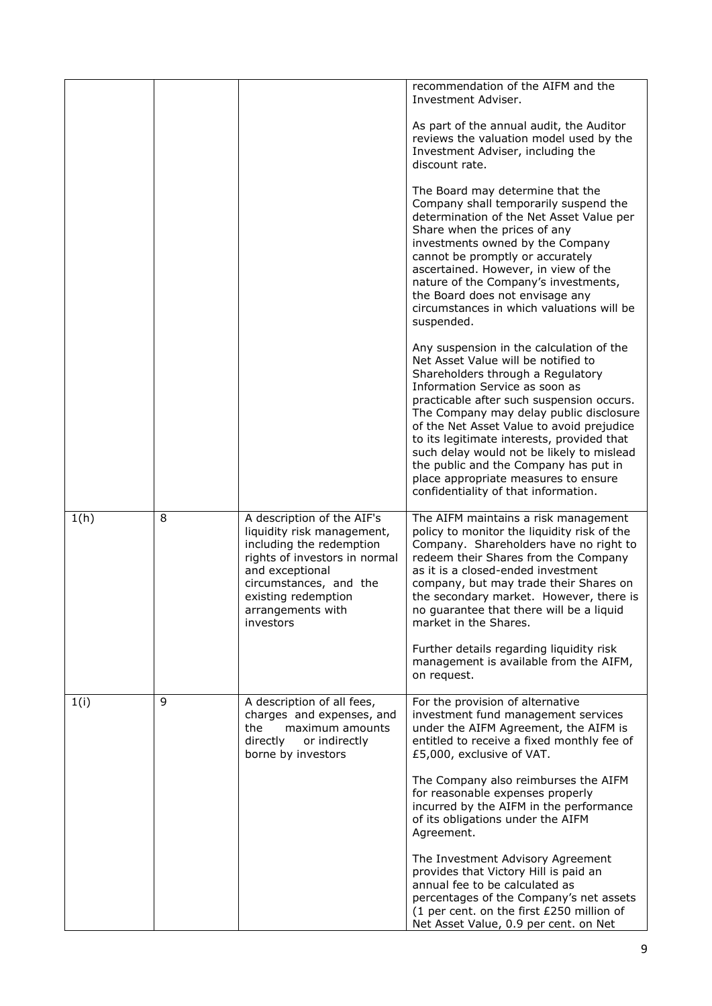|      |   |                                                                                                                                                                                                                             | recommendation of the AIFM and the<br>Investment Adviser.                                                                                                                                                                                                                                                                                                                                                                                                                                                       |
|------|---|-----------------------------------------------------------------------------------------------------------------------------------------------------------------------------------------------------------------------------|-----------------------------------------------------------------------------------------------------------------------------------------------------------------------------------------------------------------------------------------------------------------------------------------------------------------------------------------------------------------------------------------------------------------------------------------------------------------------------------------------------------------|
|      |   |                                                                                                                                                                                                                             | As part of the annual audit, the Auditor<br>reviews the valuation model used by the<br>Investment Adviser, including the<br>discount rate.                                                                                                                                                                                                                                                                                                                                                                      |
|      |   |                                                                                                                                                                                                                             | The Board may determine that the<br>Company shall temporarily suspend the<br>determination of the Net Asset Value per<br>Share when the prices of any<br>investments owned by the Company<br>cannot be promptly or accurately<br>ascertained. However, in view of the<br>nature of the Company's investments,<br>the Board does not envisage any<br>circumstances in which valuations will be<br>suspended.                                                                                                     |
|      |   |                                                                                                                                                                                                                             | Any suspension in the calculation of the<br>Net Asset Value will be notified to<br>Shareholders through a Regulatory<br>Information Service as soon as<br>practicable after such suspension occurs.<br>The Company may delay public disclosure<br>of the Net Asset Value to avoid prejudice<br>to its legitimate interests, provided that<br>such delay would not be likely to mislead<br>the public and the Company has put in<br>place appropriate measures to ensure<br>confidentiality of that information. |
| 1(h) | 8 | A description of the AIF's<br>liquidity risk management,<br>including the redemption<br>rights of investors in normal<br>and exceptional<br>circumstances, and the<br>existing redemption<br>arrangements with<br>investors | The AIFM maintains a risk management<br>policy to monitor the liquidity risk of the<br>Company. Shareholders have no right to<br>redeem their Shares from the Company<br>as it is a closed-ended investment<br>company, but may trade their Shares on<br>the secondary market. However, there is<br>no guarantee that there will be a liquid<br>market in the Shares.<br>Further details regarding liquidity risk<br>management is available from the AIFM,                                                     |
|      |   |                                                                                                                                                                                                                             | on request.                                                                                                                                                                                                                                                                                                                                                                                                                                                                                                     |
| 1(i) | 9 | A description of all fees,<br>charges and expenses, and<br>maximum amounts<br>the<br>directly<br>or indirectly<br>borne by investors                                                                                        | For the provision of alternative<br>investment fund management services<br>under the AIFM Agreement, the AIFM is<br>entitled to receive a fixed monthly fee of<br>£5,000, exclusive of VAT.                                                                                                                                                                                                                                                                                                                     |
|      |   |                                                                                                                                                                                                                             | The Company also reimburses the AIFM<br>for reasonable expenses properly<br>incurred by the AIFM in the performance<br>of its obligations under the AIFM<br>Agreement.                                                                                                                                                                                                                                                                                                                                          |
|      |   |                                                                                                                                                                                                                             | The Investment Advisory Agreement<br>provides that Victory Hill is paid an<br>annual fee to be calculated as<br>percentages of the Company's net assets<br>(1 per cent. on the first £250 million of<br>Net Asset Value, 0.9 per cent. on Net                                                                                                                                                                                                                                                                   |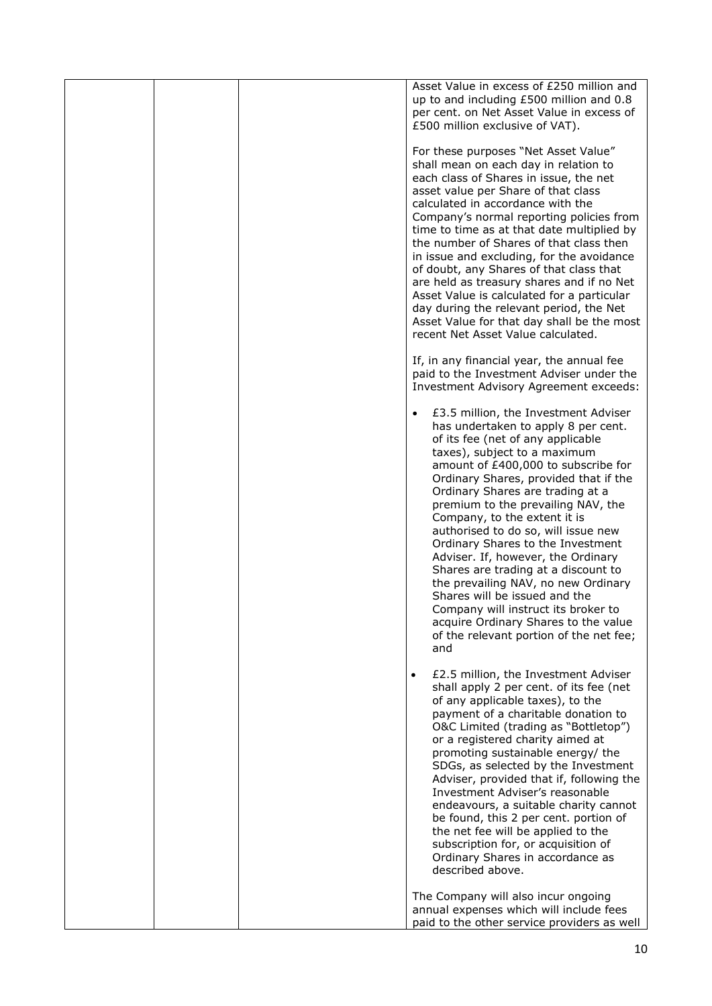|  | Asset Value in excess of £250 million and<br>up to and including £500 million and 0.8<br>per cent. on Net Asset Value in excess of<br>£500 million exclusive of VAT).                                                                                                                                                                                                                                                                                                                                                                                                                                                                                                                                        |
|--|--------------------------------------------------------------------------------------------------------------------------------------------------------------------------------------------------------------------------------------------------------------------------------------------------------------------------------------------------------------------------------------------------------------------------------------------------------------------------------------------------------------------------------------------------------------------------------------------------------------------------------------------------------------------------------------------------------------|
|  | For these purposes "Net Asset Value"<br>shall mean on each day in relation to<br>each class of Shares in issue, the net<br>asset value per Share of that class<br>calculated in accordance with the<br>Company's normal reporting policies from<br>time to time as at that date multiplied by<br>the number of Shares of that class then<br>in issue and excluding, for the avoidance<br>of doubt, any Shares of that class that<br>are held as treasury shares and if no Net<br>Asset Value is calculated for a particular<br>day during the relevant period, the Net<br>Asset Value for that day shall be the most<br>recent Net Asset Value calculated.                                                   |
|  | If, in any financial year, the annual fee<br>paid to the Investment Adviser under the<br>Investment Advisory Agreement exceeds:                                                                                                                                                                                                                                                                                                                                                                                                                                                                                                                                                                              |
|  | £3.5 million, the Investment Adviser<br>has undertaken to apply 8 per cent.<br>of its fee (net of any applicable<br>taxes), subject to a maximum<br>amount of £400,000 to subscribe for<br>Ordinary Shares, provided that if the<br>Ordinary Shares are trading at a<br>premium to the prevailing NAV, the<br>Company, to the extent it is<br>authorised to do so, will issue new<br>Ordinary Shares to the Investment<br>Adviser. If, however, the Ordinary<br>Shares are trading at a discount to<br>the prevailing NAV, no new Ordinary<br>Shares will be issued and the<br>Company will instruct its broker to<br>acquire Ordinary Shares to the value<br>of the relevant portion of the net fee;<br>and |
|  | £2.5 million, the Investment Adviser<br>$\bullet$<br>shall apply 2 per cent. of its fee (net<br>of any applicable taxes), to the<br>payment of a charitable donation to<br>O&C Limited (trading as "Bottletop")<br>or a registered charity aimed at<br>promoting sustainable energy/ the<br>SDGs, as selected by the Investment<br>Adviser, provided that if, following the<br>Investment Adviser's reasonable<br>endeavours, a suitable charity cannot<br>be found, this 2 per cent. portion of<br>the net fee will be applied to the<br>subscription for, or acquisition of<br>Ordinary Shares in accordance as<br>described above.                                                                        |
|  | The Company will also incur ongoing<br>annual expenses which will include fees<br>paid to the other service providers as well                                                                                                                                                                                                                                                                                                                                                                                                                                                                                                                                                                                |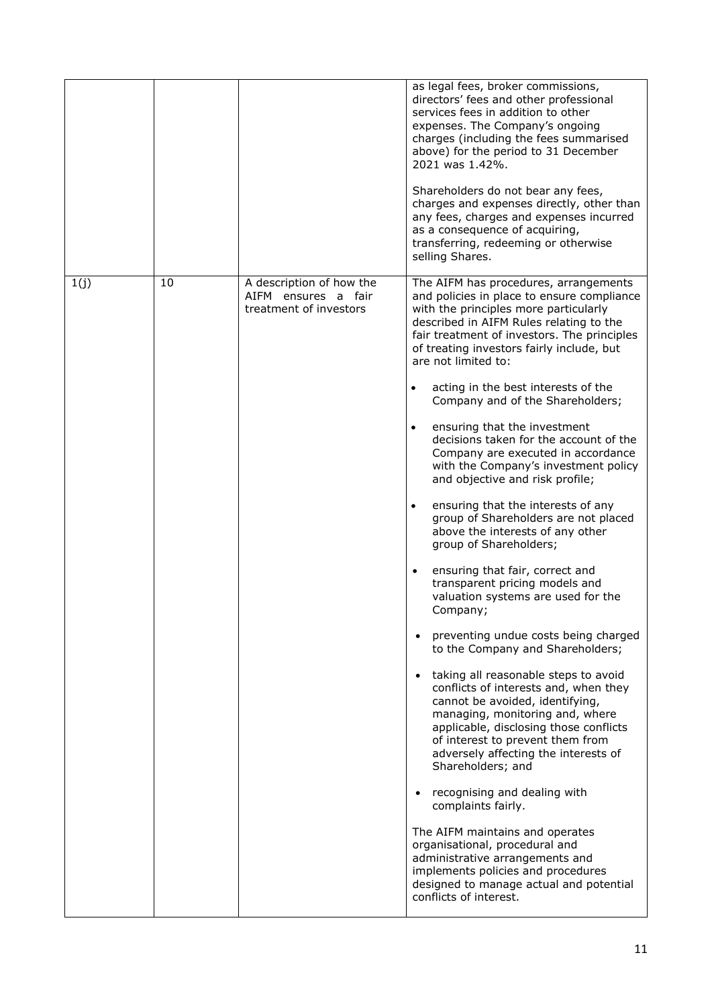|      |    |                                                                           | as legal fees, broker commissions,<br>directors' fees and other professional<br>services fees in addition to other<br>expenses. The Company's ongoing<br>charges (including the fees summarised<br>above) for the period to 31 December<br>2021 was 1.42%.<br>Shareholders do not bear any fees,<br>charges and expenses directly, other than<br>any fees, charges and expenses incurred<br>as a consequence of acquiring,<br>transferring, redeeming or otherwise<br>selling Shares.                                                                                                                                                                                                                                                                                                                                                                                                                                                                                                                                                                                                                                                                                                                                                                                                                                                                                                                                                                                                                                             |
|------|----|---------------------------------------------------------------------------|-----------------------------------------------------------------------------------------------------------------------------------------------------------------------------------------------------------------------------------------------------------------------------------------------------------------------------------------------------------------------------------------------------------------------------------------------------------------------------------------------------------------------------------------------------------------------------------------------------------------------------------------------------------------------------------------------------------------------------------------------------------------------------------------------------------------------------------------------------------------------------------------------------------------------------------------------------------------------------------------------------------------------------------------------------------------------------------------------------------------------------------------------------------------------------------------------------------------------------------------------------------------------------------------------------------------------------------------------------------------------------------------------------------------------------------------------------------------------------------------------------------------------------------|
| 1(j) | 10 | A description of how the<br>AIFM ensures a fair<br>treatment of investors | The AIFM has procedures, arrangements<br>and policies in place to ensure compliance<br>with the principles more particularly<br>described in AIFM Rules relating to the<br>fair treatment of investors. The principles<br>of treating investors fairly include, but<br>are not limited to:<br>acting in the best interests of the<br>$\bullet$<br>Company and of the Shareholders;<br>ensuring that the investment<br>$\bullet$<br>decisions taken for the account of the<br>Company are executed in accordance<br>with the Company's investment policy<br>and objective and risk profile;<br>ensuring that the interests of any<br>$\bullet$<br>group of Shareholders are not placed<br>above the interests of any other<br>group of Shareholders;<br>ensuring that fair, correct and<br>transparent pricing models and<br>valuation systems are used for the<br>Company;<br>preventing undue costs being charged<br>to the Company and Shareholders;<br>taking all reasonable steps to avoid<br>conflicts of interests and, when they<br>cannot be avoided, identifying,<br>managing, monitoring and, where<br>applicable, disclosing those conflicts<br>of interest to prevent them from<br>adversely affecting the interests of<br>Shareholders; and<br>recognising and dealing with<br>complaints fairly.<br>The AIFM maintains and operates<br>organisational, procedural and<br>administrative arrangements and<br>implements policies and procedures<br>designed to manage actual and potential<br>conflicts of interest. |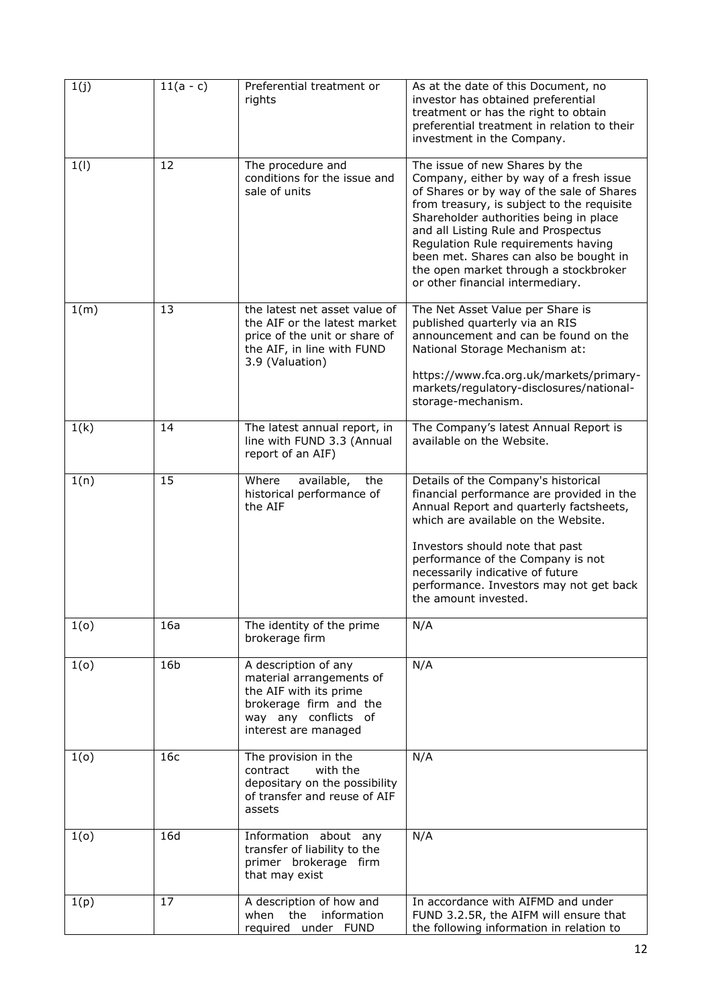| 1(j) | $11(a - c)$     | Preferential treatment or<br>rights                                                                                                                  | As at the date of this Document, no<br>investor has obtained preferential<br>treatment or has the right to obtain<br>preferential treatment in relation to their<br>investment in the Company.                                                                                                                                                                                                                      |
|------|-----------------|------------------------------------------------------------------------------------------------------------------------------------------------------|---------------------------------------------------------------------------------------------------------------------------------------------------------------------------------------------------------------------------------------------------------------------------------------------------------------------------------------------------------------------------------------------------------------------|
| 1(1) | 12              | The procedure and<br>conditions for the issue and<br>sale of units                                                                                   | The issue of new Shares by the<br>Company, either by way of a fresh issue<br>of Shares or by way of the sale of Shares<br>from treasury, is subject to the requisite<br>Shareholder authorities being in place<br>and all Listing Rule and Prospectus<br>Regulation Rule requirements having<br>been met. Shares can also be bought in<br>the open market through a stockbroker<br>or other financial intermediary. |
| 1(m) | 13              | the latest net asset value of<br>the AIF or the latest market<br>price of the unit or share of<br>the AIF, in line with FUND<br>3.9 (Valuation)      | The Net Asset Value per Share is<br>published quarterly via an RIS<br>announcement and can be found on the<br>National Storage Mechanism at:<br>https://www.fca.org.uk/markets/primary-<br>markets/regulatory-disclosures/national-<br>storage-mechanism.                                                                                                                                                           |
| 1(k) | 14              | The latest annual report, in<br>line with FUND 3.3 (Annual<br>report of an AIF)                                                                      | The Company's latest Annual Report is<br>available on the Website.                                                                                                                                                                                                                                                                                                                                                  |
| 1(n) | 15              | Where<br>available,<br>the<br>historical performance of<br>the AIF                                                                                   | Details of the Company's historical<br>financial performance are provided in the<br>Annual Report and quarterly factsheets,<br>which are available on the Website.<br>Investors should note that past<br>performance of the Company is not<br>necessarily indicative of future<br>performance. Investors may not get back<br>the amount invested.                                                                   |
| 1(0) | 16a             | The identity of the prime<br>brokerage firm                                                                                                          | N/A                                                                                                                                                                                                                                                                                                                                                                                                                 |
| 1(0) | 16 <sub>b</sub> | A description of any<br>material arrangements of<br>the AIF with its prime<br>brokerage firm and the<br>way any conflicts of<br>interest are managed | N/A                                                                                                                                                                                                                                                                                                                                                                                                                 |
| 1(0) | 16c             | The provision in the<br>with the<br>contract<br>depositary on the possibility<br>of transfer and reuse of AIF<br>assets                              | N/A                                                                                                                                                                                                                                                                                                                                                                                                                 |
| 1(0) | 16d             | Information about any<br>transfer of liability to the<br>primer brokerage firm<br>that may exist                                                     | N/A                                                                                                                                                                                                                                                                                                                                                                                                                 |
| 1(p) | 17              | A description of how and<br>the<br>information<br>when<br>required under FUND                                                                        | In accordance with AIFMD and under<br>FUND 3.2.5R, the AIFM will ensure that<br>the following information in relation to                                                                                                                                                                                                                                                                                            |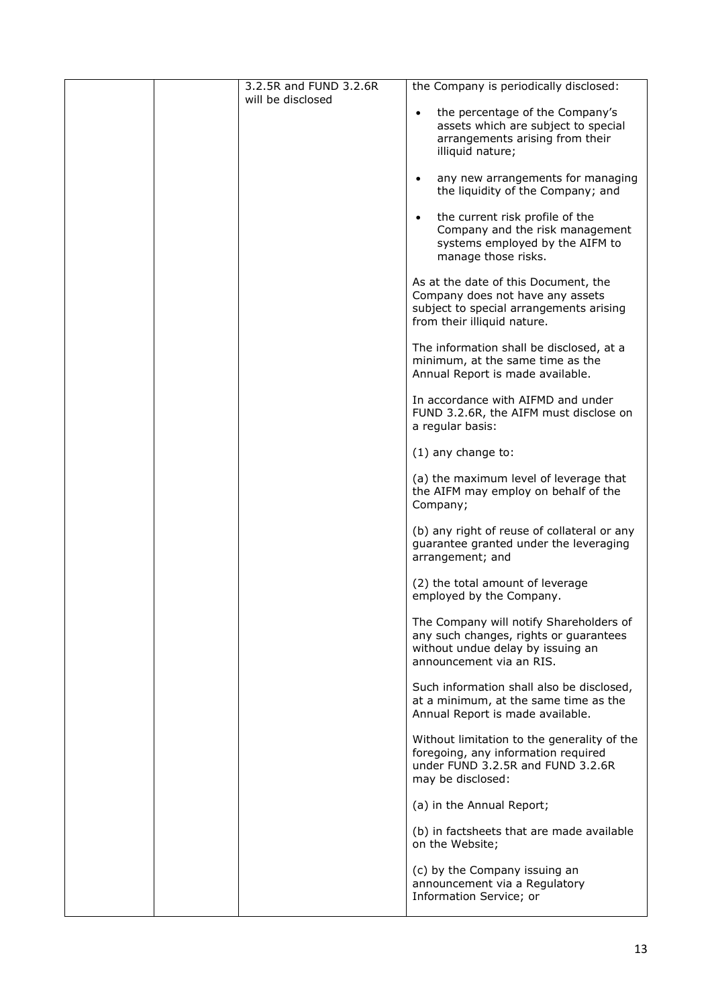|  | 3.2.5R and FUND 3.2.6R<br>will be disclosed | the Company is periodically disclosed:                                                                                                             |
|--|---------------------------------------------|----------------------------------------------------------------------------------------------------------------------------------------------------|
|  |                                             | the percentage of the Company's<br>$\bullet$<br>assets which are subject to special<br>arrangements arising from their<br>illiquid nature;         |
|  |                                             | any new arrangements for managing<br>$\bullet$<br>the liquidity of the Company; and                                                                |
|  |                                             | the current risk profile of the<br>$\bullet$<br>Company and the risk management<br>systems employed by the AIFM to<br>manage those risks.          |
|  |                                             | As at the date of this Document, the<br>Company does not have any assets<br>subject to special arrangements arising<br>from their illiquid nature. |
|  |                                             | The information shall be disclosed, at a<br>minimum, at the same time as the<br>Annual Report is made available.                                   |
|  |                                             | In accordance with AIFMD and under<br>FUND 3.2.6R, the AIFM must disclose on<br>a regular basis:                                                   |
|  |                                             | $(1)$ any change to:                                                                                                                               |
|  |                                             | (a) the maximum level of leverage that<br>the AIFM may employ on behalf of the<br>Company;                                                         |
|  |                                             | (b) any right of reuse of collateral or any<br>guarantee granted under the leveraging<br>arrangement; and                                          |
|  |                                             | (2) the total amount of leverage<br>employed by the Company.                                                                                       |
|  |                                             | The Company will notify Shareholders of<br>any such changes, rights or guarantees<br>without undue delay by issuing an<br>announcement via an RIS. |
|  |                                             | Such information shall also be disclosed,<br>at a minimum, at the same time as the<br>Annual Report is made available.                             |
|  |                                             | Without limitation to the generality of the<br>foregoing, any information required<br>under FUND 3.2.5R and FUND 3.2.6R<br>may be disclosed:       |
|  |                                             | (a) in the Annual Report;                                                                                                                          |
|  |                                             | (b) in factsheets that are made available<br>on the Website;                                                                                       |
|  |                                             | (c) by the Company issuing an<br>announcement via a Regulatory<br>Information Service; or                                                          |